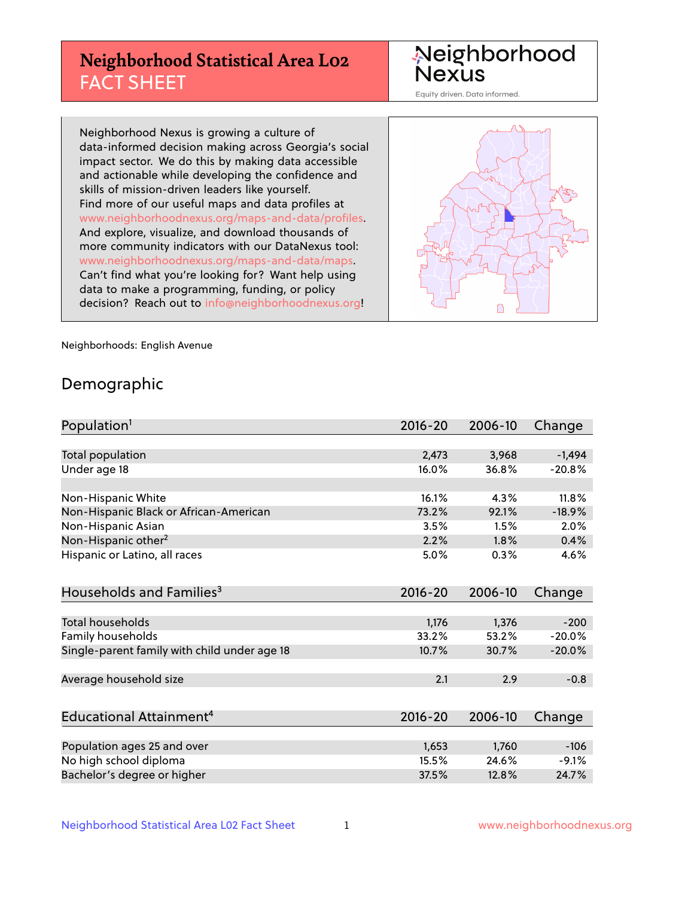## **Neighborhood Statistical Area L02** FACT SHEET

Neighborhood Nexus

Equity driven. Data informed.

Neighborhood Nexus is growing a culture of data-informed decision making across Georgia's social impact sector. We do this by making data accessible and actionable while developing the confidence and skills of mission-driven leaders like yourself. Find more of our useful maps and data profiles at www.neighborhoodnexus.org/maps-and-data/profiles. And explore, visualize, and download thousands of more community indicators with our DataNexus tool: www.neighborhoodnexus.org/maps-and-data/maps. Can't find what you're looking for? Want help using data to make a programming, funding, or policy decision? Reach out to [info@neighborhoodnexus.org!](mailto:info@neighborhoodnexus.org)



Neighborhoods: English Avenue

### Demographic

| Population <sup>1</sup>                      | $2016 - 20$ | 2006-10 | Change   |
|----------------------------------------------|-------------|---------|----------|
|                                              |             |         |          |
| <b>Total population</b>                      | 2,473       | 3,968   | $-1,494$ |
| Under age 18                                 | 16.0%       | 36.8%   | $-20.8%$ |
|                                              |             |         |          |
| Non-Hispanic White                           | 16.1%       | 4.3%    | 11.8%    |
| Non-Hispanic Black or African-American       | 73.2%       | 92.1%   | $-18.9%$ |
| Non-Hispanic Asian                           | 3.5%        | 1.5%    | 2.0%     |
| Non-Hispanic other <sup>2</sup>              | 2.2%        | 1.8%    | 0.4%     |
| Hispanic or Latino, all races                | 5.0%        | 0.3%    | 4.6%     |
|                                              |             |         |          |
| Households and Families <sup>3</sup>         | 2016-20     | 2006-10 | Change   |
|                                              |             |         |          |
| Total households                             | 1,176       | 1,376   | $-200$   |
| Family households                            | 33.2%       | 53.2%   | $-20.0%$ |
| Single-parent family with child under age 18 | 10.7%       | 30.7%   | $-20.0%$ |
|                                              |             |         |          |
| Average household size                       | 2.1         | 2.9     | $-0.8$   |
|                                              |             |         |          |
| Educational Attainment <sup>4</sup>          | 2016-20     | 2006-10 | Change   |
|                                              |             |         |          |
| Population ages 25 and over                  | 1,653       | 1,760   | $-106$   |
| No high school diploma                       | 15.5%       | 24.6%   | $-9.1%$  |
| Bachelor's degree or higher                  | 37.5%       | 12.8%   | 24.7%    |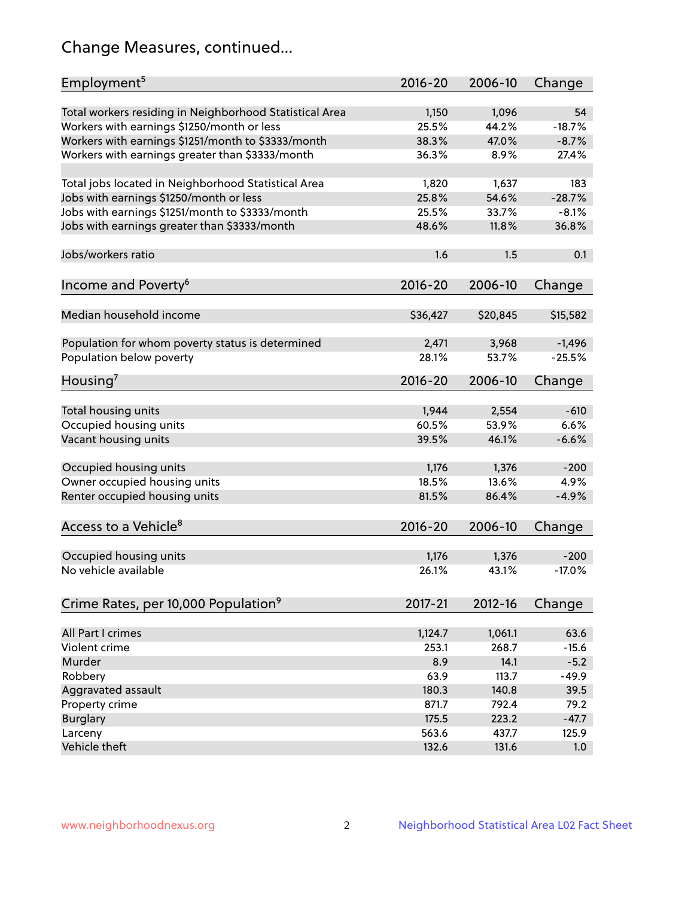## Change Measures, continued...

| Employment <sup>5</sup>                                                                               | $2016 - 20$    | 2006-10        | Change         |
|-------------------------------------------------------------------------------------------------------|----------------|----------------|----------------|
|                                                                                                       |                |                |                |
| Total workers residing in Neighborhood Statistical Area                                               | 1,150<br>25.5% | 1,096<br>44.2% | 54<br>$-18.7%$ |
| Workers with earnings \$1250/month or less                                                            | 38.3%          | 47.0%          | $-8.7%$        |
| Workers with earnings \$1251/month to \$3333/month<br>Workers with earnings greater than \$3333/month | 36.3%          | 8.9%           | 27.4%          |
|                                                                                                       |                |                |                |
| Total jobs located in Neighborhood Statistical Area                                                   | 1,820          | 1,637          | 183            |
| Jobs with earnings \$1250/month or less                                                               | 25.8%          | 54.6%          | $-28.7%$       |
| Jobs with earnings \$1251/month to \$3333/month                                                       | 25.5%          | 33.7%          | $-8.1%$        |
| Jobs with earnings greater than \$3333/month                                                          | 48.6%          | 11.8%          | 36.8%          |
|                                                                                                       |                |                |                |
| Jobs/workers ratio                                                                                    | 1.6            | 1.5            | 0.1            |
|                                                                                                       |                |                |                |
| Income and Poverty <sup>6</sup>                                                                       | 2016-20        | 2006-10        | Change         |
|                                                                                                       |                |                |                |
| Median household income                                                                               | \$36,427       | \$20,845       | \$15,582       |
|                                                                                                       |                |                |                |
| Population for whom poverty status is determined                                                      | 2,471          | 3,968          | $-1,496$       |
| Population below poverty                                                                              | 28.1%          | 53.7%          | $-25.5%$       |
|                                                                                                       |                |                |                |
| Housing <sup>7</sup>                                                                                  | $2016 - 20$    | 2006-10        | Change         |
|                                                                                                       |                |                |                |
| Total housing units                                                                                   | 1,944          | 2,554          | $-610$         |
| Occupied housing units                                                                                | 60.5%          | 53.9%          | 6.6%           |
| Vacant housing units                                                                                  | 39.5%          | 46.1%          | $-6.6%$        |
|                                                                                                       |                |                |                |
| Occupied housing units                                                                                | 1,176          | 1,376          | $-200$         |
| Owner occupied housing units                                                                          | 18.5%          | 13.6%          | 4.9%           |
| Renter occupied housing units                                                                         | 81.5%          | 86.4%          | $-4.9%$        |
|                                                                                                       |                |                |                |
| Access to a Vehicle <sup>8</sup>                                                                      | $2016 - 20$    | 2006-10        | Change         |
|                                                                                                       |                |                |                |
| Occupied housing units                                                                                | 1,176          | 1,376          | $-200$         |
| No vehicle available                                                                                  | 26.1%          | 43.1%          | $-17.0%$       |
|                                                                                                       |                |                |                |
| Crime Rates, per 10,000 Population <sup>9</sup>                                                       | 2017-21        | 2012-16        | Change         |
|                                                                                                       |                |                |                |
| All Part I crimes                                                                                     | 1,124.7        | 1,061.1        | 63.6           |
| Violent crime                                                                                         | 253.1          | 268.7          | $-15.6$        |
| Murder                                                                                                | 8.9            | 14.1           | $-5.2$         |
| Robbery                                                                                               | 63.9           | 113.7          | $-49.9$        |
| Aggravated assault                                                                                    | 180.3          | 140.8          | 39.5           |
| Property crime                                                                                        | 871.7          | 792.4          | 79.2           |
| <b>Burglary</b>                                                                                       | 175.5          | 223.2          | $-47.7$        |
| Larceny                                                                                               | 563.6          | 437.7          | 125.9          |
| Vehicle theft                                                                                         | 132.6          | 131.6          | 1.0            |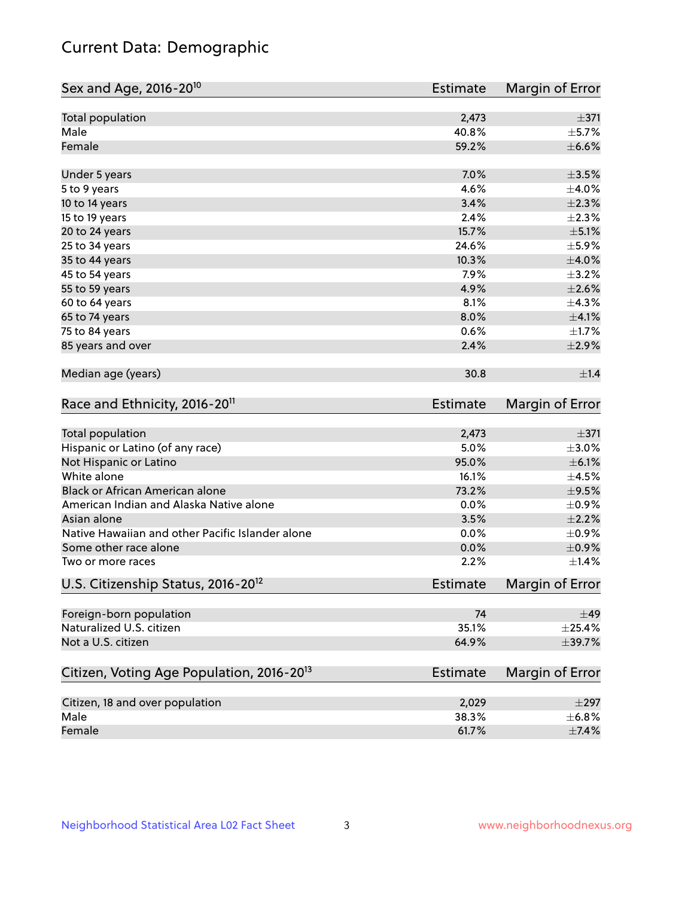## Current Data: Demographic

| Sex and Age, 2016-20 <sup>10</sup>                    | <b>Estimate</b> | Margin of Error |
|-------------------------------------------------------|-----------------|-----------------|
| Total population                                      | 2,473           | $\pm$ 371       |
| Male                                                  | 40.8%           | $\pm$ 5.7%      |
| Female                                                | 59.2%           | $\pm$ 6.6%      |
| Under 5 years                                         | 7.0%            | $\pm$ 3.5%      |
| 5 to 9 years                                          | 4.6%            | $\pm 4.0\%$     |
| 10 to 14 years                                        | 3.4%            | $\pm 2.3\%$     |
| 15 to 19 years                                        | 2.4%            | $\pm 2.3\%$     |
| 20 to 24 years                                        | 15.7%           | $\pm$ 5.1%      |
| 25 to 34 years                                        | 24.6%           | $\pm$ 5.9%      |
| 35 to 44 years                                        | 10.3%           | $\pm 4.0\%$     |
| 45 to 54 years                                        | 7.9%            | $\pm$ 3.2%      |
| 55 to 59 years                                        | 4.9%            | $\pm 2.6\%$     |
| 60 to 64 years                                        | 8.1%            | ±4.3%           |
| 65 to 74 years                                        | 8.0%            | $\pm 4.1\%$     |
| 75 to 84 years                                        | 0.6%            | $\pm1.7\%$      |
| 85 years and over                                     | 2.4%            | $\pm 2.9\%$     |
| Median age (years)                                    | 30.8            | $\pm 1.4$       |
| Race and Ethnicity, 2016-20 <sup>11</sup>             | <b>Estimate</b> | Margin of Error |
| <b>Total population</b>                               | 2,473           | $\pm$ 371       |
| Hispanic or Latino (of any race)                      | 5.0%            | $\pm 3.0\%$     |
| Not Hispanic or Latino                                | 95.0%           | $\pm$ 6.1%      |
| White alone                                           | 16.1%           | $\pm$ 4.5%      |
| Black or African American alone                       | 73.2%           | $\pm$ 9.5%      |
| American Indian and Alaska Native alone               | 0.0%            | $\pm$ 0.9%      |
| Asian alone                                           | 3.5%            | $\pm 2.2\%$     |
| Native Hawaiian and other Pacific Islander alone      | 0.0%            | $\pm$ 0.9%      |
| Some other race alone                                 | 0.0%            | $\pm$ 0.9%      |
| Two or more races                                     | 2.2%            | $\pm$ 1.4%      |
| U.S. Citizenship Status, 2016-20 <sup>12</sup>        | <b>Estimate</b> | Margin of Error |
| Foreign-born population                               | 74              | $\pm$ 49        |
| Naturalized U.S. citizen                              | 35.1%           | $\pm 25.4\%$    |
| Not a U.S. citizen                                    | 64.9%           | ±39.7%          |
| Citizen, Voting Age Population, 2016-20 <sup>13</sup> | <b>Estimate</b> | Margin of Error |
| Citizen, 18 and over population                       | 2,029           | $\pm 297$       |
| Male                                                  | 38.3%           | ±6.8%           |
| Female                                                | 61.7%           | $\pm$ 7.4%      |
|                                                       |                 |                 |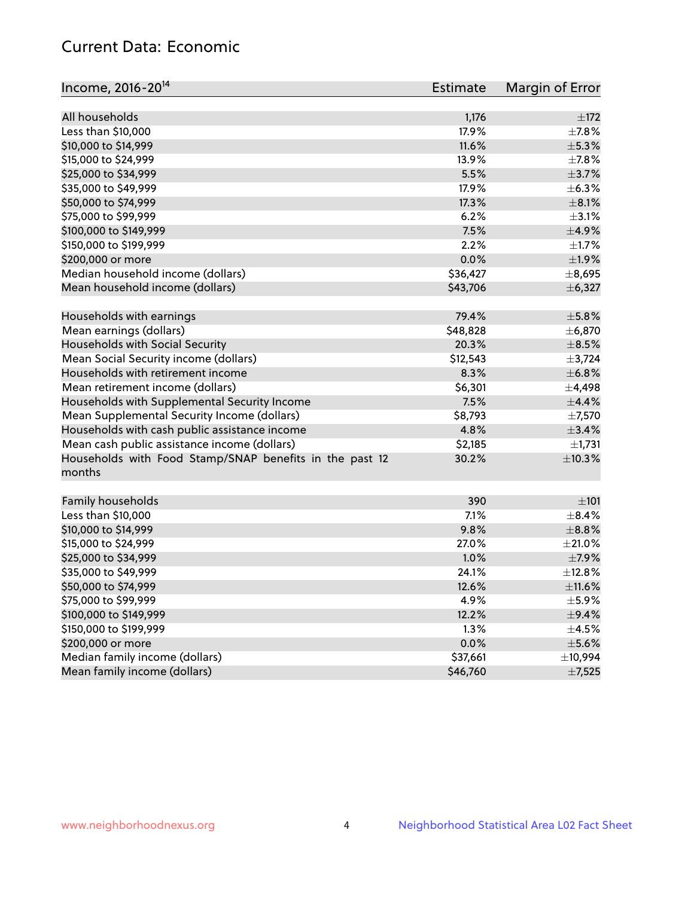## Current Data: Economic

| Income, 2016-20 <sup>14</sup>                                                                 | <b>Estimate</b> | Margin of Error       |
|-----------------------------------------------------------------------------------------------|-----------------|-----------------------|
| All households                                                                                | 1,176           | ±172                  |
| Less than \$10,000                                                                            | 17.9%           | $\pm$ 7.8%            |
| \$10,000 to \$14,999                                                                          | 11.6%           | ±5.3%                 |
| \$15,000 to \$24,999                                                                          | 13.9%           | $\pm$ 7.8%            |
| \$25,000 to \$34,999                                                                          | 5.5%            | $\pm$ 3.7%            |
| \$35,000 to \$49,999                                                                          | 17.9%           | $\pm$ 6.3%            |
| \$50,000 to \$74,999                                                                          | 17.3%           | $\pm$ 8.1%            |
| \$75,000 to \$99,999                                                                          | 6.2%            | $\pm$ 3.1%            |
| \$100,000 to \$149,999                                                                        | 7.5%            | $\pm$ 4.9%            |
| \$150,000 to \$199,999                                                                        | 2.2%            | $\pm 1.7\%$           |
| \$200,000 or more                                                                             | 0.0%            | $\pm$ 1.9%            |
| Median household income (dollars)                                                             | \$36,427        | ±8,695                |
| Mean household income (dollars)                                                               | \$43,706        | ± 6,327               |
| Households with earnings                                                                      | 79.4%           | $\pm$ 5.8%            |
| Mean earnings (dollars)                                                                       | \$48,828        | ±6,870                |
| Households with Social Security                                                               | 20.3%           | $\pm$ 8.5%            |
| Mean Social Security income (dollars)                                                         | \$12,543        | $\pm$ 3,724           |
| Households with retirement income                                                             | 8.3%            | ±6.8%                 |
| Mean retirement income (dollars)                                                              | \$6,301         | $\pm$ 4,498           |
| Households with Supplemental Security Income                                                  | 7.5%            | ±4.4%                 |
| Mean Supplemental Security Income (dollars)                                                   | \$8,793         | $\pm$ 7,570           |
|                                                                                               | 4.8%            | ±3.4%                 |
| Households with cash public assistance income<br>Mean cash public assistance income (dollars) | \$2,185         |                       |
|                                                                                               | 30.2%           | $\pm$ 1,731<br>±10.3% |
| Households with Food Stamp/SNAP benefits in the past 12<br>months                             |                 |                       |
| Family households                                                                             | 390             | $\pm 101$             |
| Less than \$10,000                                                                            | 7.1%            | $\pm$ 8.4%            |
| \$10,000 to \$14,999                                                                          | 9.8%            | $\pm$ 8.8%            |
| \$15,000 to \$24,999                                                                          | 27.0%           | $\pm 21.0\%$          |
| \$25,000 to \$34,999                                                                          | 1.0%            | $\pm$ 7.9%            |
| \$35,000 to \$49,999                                                                          | 24.1%           | ±12.8%                |
| \$50,000 to \$74,999                                                                          | 12.6%           | $\pm$ 11.6%           |
| \$75,000 to \$99,999                                                                          | 4.9%            | $\pm$ 5.9%            |
| \$100,000 to \$149,999                                                                        | 12.2%           | $\pm$ 9.4%            |
| \$150,000 to \$199,999                                                                        | 1.3%            | $\pm$ 4.5%            |
| \$200,000 or more                                                                             | 0.0%            | $\pm$ 5.6%            |
| Median family income (dollars)                                                                | \$37,661        | ±10,994               |
| Mean family income (dollars)                                                                  | \$46,760        | $\pm$ 7,525           |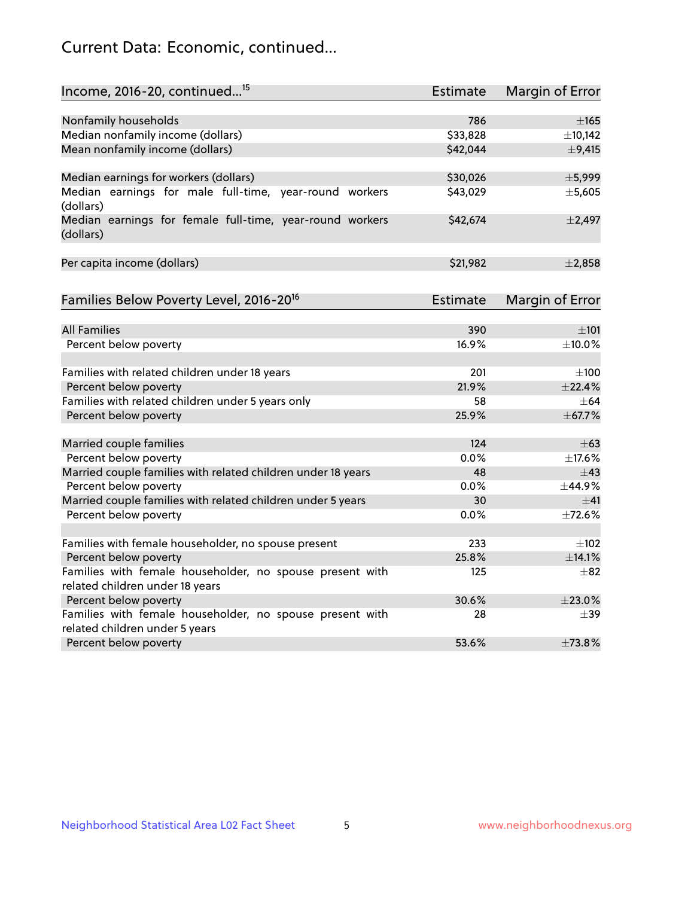## Current Data: Economic, continued...

| Income, 2016-20, continued <sup>15</sup>                                                    | <b>Estimate</b> | Margin of Error        |
|---------------------------------------------------------------------------------------------|-----------------|------------------------|
|                                                                                             |                 |                        |
| Nonfamily households                                                                        | 786             | $\pm 165$              |
| Median nonfamily income (dollars)                                                           | \$33,828        | ±10,142                |
| Mean nonfamily income (dollars)                                                             | \$42,044        | $\pm$ 9,415            |
| Median earnings for workers (dollars)                                                       | \$30,026        | ±5,999                 |
| Median earnings for male full-time, year-round workers<br>(dollars)                         | \$43,029        | ±5,605                 |
| Median earnings for female full-time, year-round workers<br>(dollars)                       | \$42,674        | $\pm$ 2,497            |
| Per capita income (dollars)                                                                 | \$21,982        | ±2,858                 |
| Families Below Poverty Level, 2016-20 <sup>16</sup>                                         | <b>Estimate</b> | <b>Margin of Error</b> |
|                                                                                             |                 |                        |
| <b>All Families</b>                                                                         | 390             | $\pm 101$              |
| Percent below poverty                                                                       | 16.9%           | ±10.0%                 |
| Families with related children under 18 years                                               | 201             | $\pm 100$              |
| Percent below poverty                                                                       | 21.9%           | ±22.4%                 |
| Families with related children under 5 years only                                           | 58              | $\pm$ 64               |
| Percent below poverty                                                                       | 25.9%           | ±67.7%                 |
| Married couple families                                                                     | 124             | $\pm 63$               |
| Percent below poverty                                                                       | 0.0%            | ±17.6%                 |
| Married couple families with related children under 18 years                                | 48              | $\pm$ 43               |
| Percent below poverty                                                                       | $0.0\%$         | ±44.9%                 |
| Married couple families with related children under 5 years                                 | 30              | ±41                    |
| Percent below poverty                                                                       | $0.0\%$         | ±72.6%                 |
|                                                                                             | 233             | $\pm 102$              |
| Families with female householder, no spouse present                                         | 25.8%           | ±14.1%                 |
| Percent below poverty                                                                       |                 |                        |
| Families with female householder, no spouse present with<br>related children under 18 years | 125             | $\pm$ 82               |
| Percent below poverty                                                                       | 30.6%           | ±23.0%                 |
| Families with female householder, no spouse present with                                    | 28              | $\pm$ 39               |
| related children under 5 years                                                              |                 |                        |
| Percent below poverty                                                                       | 53.6%           | ±73.8%                 |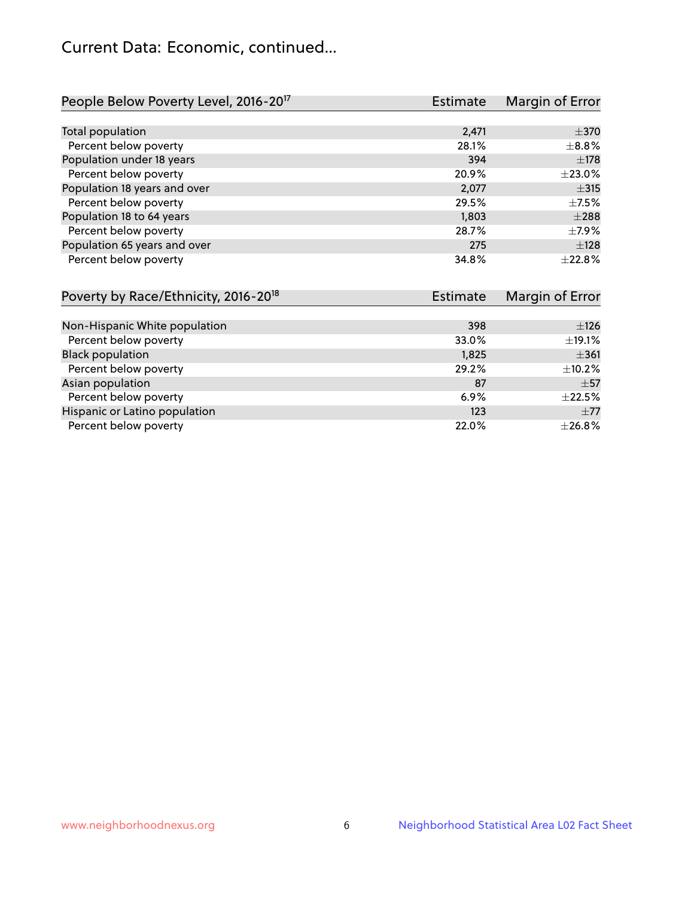## Current Data: Economic, continued...

| People Below Poverty Level, 2016-20 <sup>17</sup> | <b>Estimate</b> | Margin of Error |
|---------------------------------------------------|-----------------|-----------------|
|                                                   |                 |                 |
| Total population                                  | 2,471           | $\pm$ 370       |
| Percent below poverty                             | 28.1%           | $\pm$ 8.8%      |
| Population under 18 years                         | 394             | $\pm$ 178       |
| Percent below poverty                             | 20.9%           | ±23.0%          |
| Population 18 years and over                      | 2,077           | $\pm$ 315       |
| Percent below poverty                             | 29.5%           | $+7.5%$         |
| Population 18 to 64 years                         | 1,803           | $\pm 288$       |
| Percent below poverty                             | 28.7%           | $\pm$ 7.9%      |
| Population 65 years and over                      | 275             | ±128            |
| Percent below poverty                             | 34.8%           | ±22.8%          |

| Poverty by Race/Ethnicity, 2016-20 <sup>18</sup><br>Estimate |       | Margin of Error |  |
|--------------------------------------------------------------|-------|-----------------|--|
|                                                              |       |                 |  |
| Non-Hispanic White population                                | 398   | ±126            |  |
| Percent below poverty                                        | 33.0% | $\pm$ 19.1%     |  |
| <b>Black population</b>                                      | 1,825 | $\pm$ 361       |  |
| Percent below poverty                                        | 29.2% | $\pm$ 10.2%     |  |
| Asian population                                             | 87    | $\pm$ 57        |  |
| Percent below poverty                                        | 6.9%  | $\pm 22.5\%$    |  |
| Hispanic or Latino population                                | 123   | $\pm 77$        |  |
| Percent below poverty                                        | 22.0% | ±26.8%          |  |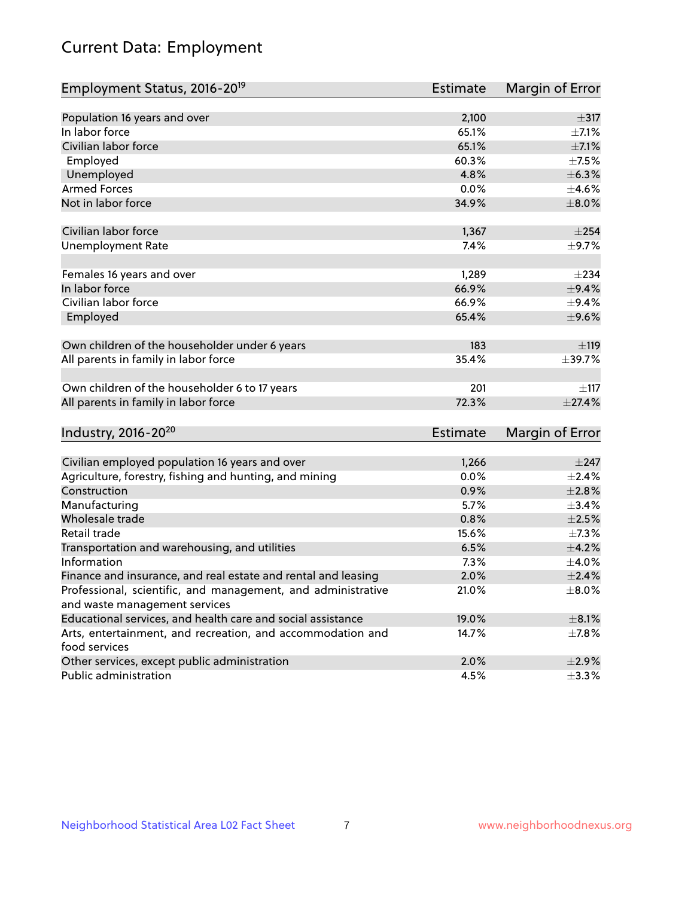# Current Data: Employment

| Employment Status, 2016-20 <sup>19</sup>                                    | <b>Estimate</b> | Margin of Error |
|-----------------------------------------------------------------------------|-----------------|-----------------|
|                                                                             |                 |                 |
| Population 16 years and over                                                | 2,100           | $\pm$ 317       |
| In labor force                                                              | 65.1%           | $\pm$ 7.1%      |
| Civilian labor force                                                        | 65.1%           | $\pm$ 7.1%      |
| Employed                                                                    | 60.3%           | $\pm$ 7.5%      |
| Unemployed                                                                  | 4.8%            | ±6.3%           |
| <b>Armed Forces</b>                                                         | 0.0%            | $\pm 4.6\%$     |
| Not in labor force                                                          | 34.9%           | $\pm 8.0\%$     |
| Civilian labor force                                                        | 1,367           | $\pm 254$       |
| <b>Unemployment Rate</b>                                                    | 7.4%            | $\pm$ 9.7%      |
| Females 16 years and over                                                   | 1,289           | $\pm 234$       |
| In labor force                                                              | 66.9%           | $\pm$ 9.4%      |
| Civilian labor force                                                        | 66.9%           | ±9.4%           |
| Employed                                                                    | 65.4%           | $\pm$ 9.6%      |
| Own children of the householder under 6 years                               | 183             | ±119            |
| All parents in family in labor force                                        | 35.4%           | ±39.7%          |
|                                                                             |                 |                 |
| Own children of the householder 6 to 17 years                               | 201             | ±117            |
| All parents in family in labor force                                        | 72.3%           | ±27.4%          |
| Industry, 2016-20 <sup>20</sup>                                             | <b>Estimate</b> | Margin of Error |
|                                                                             |                 |                 |
| Civilian employed population 16 years and over                              | 1,266           | $\pm$ 247       |
| Agriculture, forestry, fishing and hunting, and mining                      | 0.0%            | $\pm 2.4\%$     |
| Construction                                                                | 0.9%            | $\pm 2.8\%$     |
| Manufacturing                                                               | 5.7%            | ±3.4%           |
| Wholesale trade                                                             | 0.8%            | $\pm 2.5\%$     |
| Retail trade                                                                | 15.6%           | $\pm$ 7.3%      |
| Transportation and warehousing, and utilities                               | 6.5%            | $\pm 4.2\%$     |
| Information                                                                 | 7.3%            | $\pm$ 4.0%      |
| Finance and insurance, and real estate and rental and leasing               | 2.0%            | $\pm 2.4\%$     |
| Professional, scientific, and management, and administrative                | 21.0%           | $\pm$ 8.0%      |
| and waste management services                                               |                 |                 |
| Educational services, and health care and social assistance                 | 19.0%           | $\pm$ 8.1%      |
| Arts, entertainment, and recreation, and accommodation and<br>food services | 14.7%           | $\pm$ 7.8%      |
| Other services, except public administration                                | 2.0%            | $\pm 2.9\%$     |
| Public administration                                                       | 4.5%            | $\pm$ 3.3%      |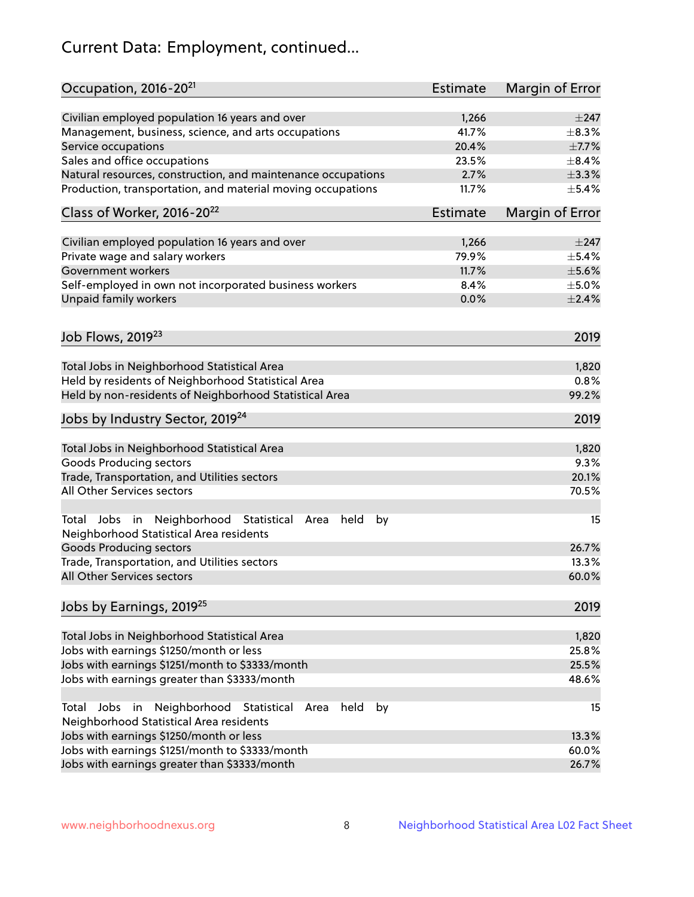# Current Data: Employment, continued...

| Occupation, 2016-20 <sup>21</sup>                                                                       | <b>Estimate</b> | Margin of Error |
|---------------------------------------------------------------------------------------------------------|-----------------|-----------------|
| Civilian employed population 16 years and over                                                          | 1,266           | $\pm$ 247       |
| Management, business, science, and arts occupations                                                     | 41.7%           | $\pm$ 8.3%      |
| Service occupations                                                                                     | 20.4%           | $\pm$ 7.7%      |
| Sales and office occupations                                                                            | 23.5%           | $\pm$ 8.4%      |
| Natural resources, construction, and maintenance occupations                                            | 2.7%            | $\pm$ 3.3%      |
| Production, transportation, and material moving occupations                                             | 11.7%           | $\pm$ 5.4%      |
| Class of Worker, 2016-20 <sup>22</sup>                                                                  | <b>Estimate</b> | Margin of Error |
| Civilian employed population 16 years and over                                                          | 1,266           | $\pm 247$       |
| Private wage and salary workers                                                                         | 79.9%           | $\pm$ 5.4%      |
| Government workers                                                                                      | 11.7%           | $\pm$ 5.6%      |
| Self-employed in own not incorporated business workers                                                  | 8.4%            | $\pm$ 5.0%      |
| Unpaid family workers                                                                                   | 0.0%            | $\pm 2.4\%$     |
| Job Flows, 2019 <sup>23</sup>                                                                           |                 | 2019            |
|                                                                                                         |                 |                 |
| Total Jobs in Neighborhood Statistical Area                                                             |                 | 1,820           |
| Held by residents of Neighborhood Statistical Area                                                      |                 | 0.8%            |
| Held by non-residents of Neighborhood Statistical Area                                                  |                 | 99.2%           |
| Jobs by Industry Sector, 2019 <sup>24</sup>                                                             |                 | 2019            |
| Total Jobs in Neighborhood Statistical Area                                                             |                 | 1,820           |
| <b>Goods Producing sectors</b>                                                                          |                 | 9.3%            |
| Trade, Transportation, and Utilities sectors                                                            |                 | 20.1%           |
| All Other Services sectors                                                                              |                 | 70.5%           |
|                                                                                                         |                 |                 |
| Total Jobs in Neighborhood Statistical<br>held<br>by<br>Area<br>Neighborhood Statistical Area residents |                 | 15              |
| <b>Goods Producing sectors</b>                                                                          |                 | 26.7%           |
| Trade, Transportation, and Utilities sectors                                                            |                 | 13.3%           |
| All Other Services sectors                                                                              |                 | 60.0%           |
| Jobs by Earnings, 2019 <sup>25</sup>                                                                    |                 | 2019            |
| Total Jobs in Neighborhood Statistical Area                                                             |                 | 1,820           |
| Jobs with earnings \$1250/month or less                                                                 |                 | 25.8%           |
| Jobs with earnings \$1251/month to \$3333/month                                                         |                 | 25.5%           |
| Jobs with earnings greater than \$3333/month                                                            |                 | 48.6%           |
| Neighborhood Statistical<br>Jobs<br>in<br>held<br>by<br>Total<br>Area                                   |                 | 15              |
| Neighborhood Statistical Area residents                                                                 |                 |                 |
| Jobs with earnings \$1250/month or less                                                                 |                 | 13.3%           |
| Jobs with earnings \$1251/month to \$3333/month                                                         |                 | 60.0%           |
| Jobs with earnings greater than \$3333/month                                                            |                 | 26.7%           |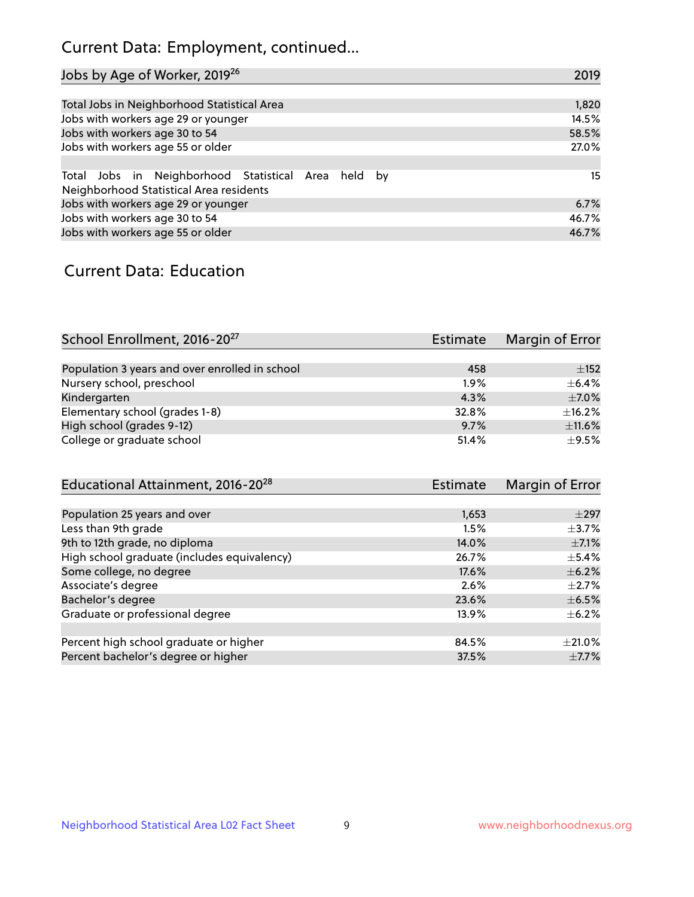## Current Data: Employment, continued...

| Jobs by Age of Worker, 2019 <sup>26</sup>                                                      | 2019  |
|------------------------------------------------------------------------------------------------|-------|
|                                                                                                |       |
| Total Jobs in Neighborhood Statistical Area                                                    | 1,820 |
| Jobs with workers age 29 or younger                                                            | 14.5% |
| Jobs with workers age 30 to 54                                                                 | 58.5% |
| Jobs with workers age 55 or older                                                              | 27.0% |
|                                                                                                |       |
| Total Jobs in Neighborhood Statistical Area held by<br>Neighborhood Statistical Area residents | 15    |
| Jobs with workers age 29 or younger                                                            | 6.7%  |
| Jobs with workers age 30 to 54                                                                 | 46.7% |
| Jobs with workers age 55 or older                                                              | 46.7% |

### Current Data: Education

| School Enrollment, 2016-20 <sup>27</sup>       | <b>Estimate</b> | Margin of Error |
|------------------------------------------------|-----------------|-----------------|
|                                                |                 |                 |
| Population 3 years and over enrolled in school | 458             | $\pm$ 152       |
| Nursery school, preschool                      | $1.9\%$         | $\pm$ 6.4%      |
| Kindergarten                                   | 4.3%            | $\pm$ 7.0%      |
| Elementary school (grades 1-8)                 | 32.8%           | ±16.2%          |
| High school (grades 9-12)                      | 9.7%            | $\pm$ 11.6%     |
| College or graduate school                     | 51.4%           | $\pm$ 9.5%      |

| Educational Attainment, 2016-20 <sup>28</sup> | <b>Estimate</b> | Margin of Error |
|-----------------------------------------------|-----------------|-----------------|
|                                               |                 |                 |
| Population 25 years and over                  | 1,653           | $\pm$ 297       |
| Less than 9th grade                           | 1.5%            | $\pm$ 3.7%      |
| 9th to 12th grade, no diploma                 | 14.0%           | $\pm$ 7.1%      |
| High school graduate (includes equivalency)   | 26.7%           | $\pm$ 5.4%      |
| Some college, no degree                       | 17.6%           | $\pm$ 6.2%      |
| Associate's degree                            | 2.6%            | $\pm 2.7\%$     |
| Bachelor's degree                             | 23.6%           | $\pm$ 6.5%      |
| Graduate or professional degree               | 13.9%           | $\pm$ 6.2%      |
|                                               |                 |                 |
| Percent high school graduate or higher        | 84.5%           | $+21.0%$        |
| Percent bachelor's degree or higher           | 37.5%           | $\pm$ 7.7%      |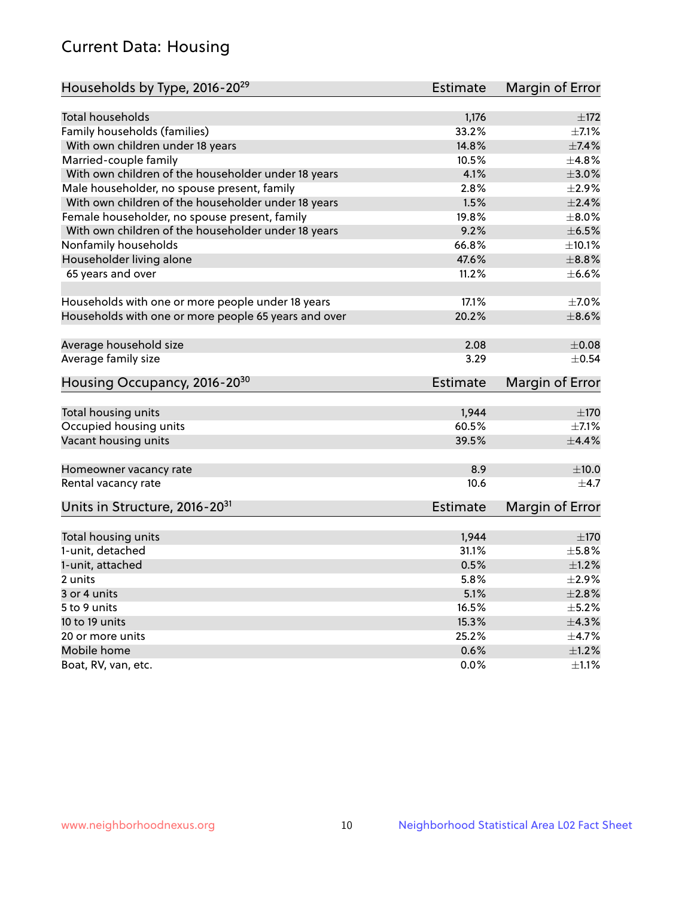## Current Data: Housing

| Households by Type, 2016-20 <sup>29</sup>            | <b>Estimate</b> | Margin of Error |
|------------------------------------------------------|-----------------|-----------------|
|                                                      |                 |                 |
| Total households                                     | 1,176           | ±172            |
| Family households (families)                         | 33.2%           | $\pm$ 7.1%      |
| With own children under 18 years                     | 14.8%           | $\pm$ 7.4%      |
| Married-couple family                                | 10.5%           | ±4.8%           |
| With own children of the householder under 18 years  | 4.1%            | $\pm 3.0\%$     |
| Male householder, no spouse present, family          | 2.8%            | $\pm 2.9\%$     |
| With own children of the householder under 18 years  | 1.5%            | $\pm 2.4\%$     |
| Female householder, no spouse present, family        | 19.8%           | $\pm$ 8.0%      |
| With own children of the householder under 18 years  | 9.2%            | $\pm$ 6.5%      |
| Nonfamily households                                 | 66.8%           | ±10.1%          |
| Householder living alone                             | 47.6%           | $\pm$ 8.8%      |
| 65 years and over                                    | 11.2%           | $\pm$ 6.6%      |
|                                                      |                 |                 |
| Households with one or more people under 18 years    | 17.1%           | $\pm$ 7.0%      |
| Households with one or more people 65 years and over | 20.2%           | $\pm$ 8.6%      |
| Average household size                               | 2.08            | $\pm 0.08$      |
| Average family size                                  | 3.29            | $\pm$ 0.54      |
| Housing Occupancy, 2016-20 <sup>30</sup>             | <b>Estimate</b> | Margin of Error |
| Total housing units                                  | 1,944           | ±170            |
| Occupied housing units                               | 60.5%           | $\pm$ 7.1%      |
| Vacant housing units                                 | 39.5%           | $\pm$ 4.4%      |
|                                                      |                 |                 |
| Homeowner vacancy rate                               | 8.9             | ±10.0           |
| Rental vacancy rate                                  | 10.6            | $\pm$ 4.7       |
| Units in Structure, 2016-20 <sup>31</sup>            | Estimate        | Margin of Error |
| Total housing units                                  | 1,944           | $\pm 170$       |
| 1-unit, detached                                     | 31.1%           | $\pm$ 5.8%      |
| 1-unit, attached                                     | 0.5%            | $\pm 1.2\%$     |
| 2 units                                              | 5.8%            | $\pm 2.9\%$     |
| 3 or 4 units                                         | 5.1%            | $\pm 2.8\%$     |
|                                                      |                 |                 |
| 5 to 9 units                                         | 16.5%           | $\pm$ 5.2%      |
| 10 to 19 units                                       | 15.3%           | ±4.3%           |
| 20 or more units                                     | 25.2%           | ±4.7%           |
| Mobile home                                          | 0.6%            | $\pm 1.2\%$     |
| Boat, RV, van, etc.                                  | $0.0\%$         | $\pm 1.1\%$     |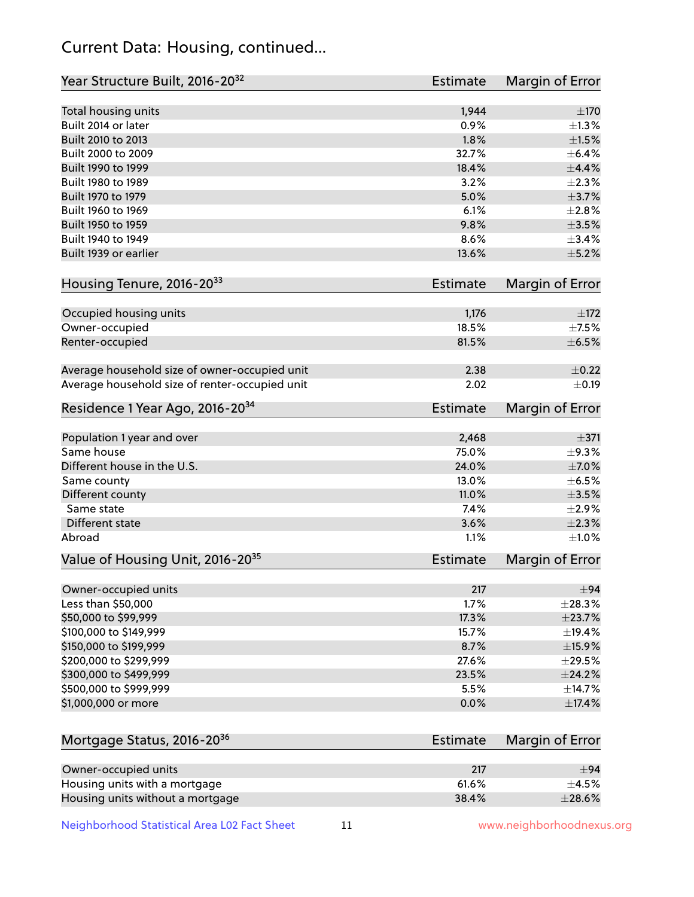## Current Data: Housing, continued...

| Year Structure Built, 2016-20 <sup>32</sup>    | Estimate        | Margin of Error |
|------------------------------------------------|-----------------|-----------------|
| Total housing units                            | 1,944           | $\pm 170$       |
| Built 2014 or later                            | 0.9%            | $\pm 1.3\%$     |
| Built 2010 to 2013                             | 1.8%            | $\pm1.5\%$      |
| Built 2000 to 2009                             | 32.7%           | $\pm$ 6.4%      |
| Built 1990 to 1999                             | 18.4%           | $\pm$ 4.4%      |
| Built 1980 to 1989                             | 3.2%            | $\pm 2.3\%$     |
| Built 1970 to 1979                             | 5.0%            | $\pm$ 3.7%      |
| Built 1960 to 1969                             | 6.1%            | ±2.8%           |
| Built 1950 to 1959                             | 9.8%            | $\pm$ 3.5%      |
| Built 1940 to 1949                             | 8.6%            | ±3.4%           |
| Built 1939 or earlier                          | 13.6%           | $\pm$ 5.2%      |
| Housing Tenure, 2016-2033                      | <b>Estimate</b> | Margin of Error |
| Occupied housing units                         | 1,176           | $\pm 172$       |
| Owner-occupied                                 | 18.5%           | $\pm$ 7.5%      |
| Renter-occupied                                | 81.5%           | $\pm$ 6.5%      |
| Average household size of owner-occupied unit  | 2.38            | $\pm$ 0.22      |
| Average household size of renter-occupied unit | 2.02            | $\pm$ 0.19      |
| Residence 1 Year Ago, 2016-20 <sup>34</sup>    | Estimate        | Margin of Error |
| Population 1 year and over                     | 2,468           | $\pm$ 371       |
| Same house                                     | 75.0%           | ±9.3%           |
| Different house in the U.S.                    | 24.0%           | $\pm$ 7.0%      |
| Same county                                    | 13.0%           | $\pm$ 6.5%      |
| Different county                               | 11.0%           | $\pm$ 3.5%      |
| Same state                                     | 7.4%            | ±2.9%           |
| Different state                                | 3.6%            | ±2.3%           |
| Abroad                                         | 1.1%            | $\pm1.0\%$      |
| Value of Housing Unit, 2016-20 <sup>35</sup>   | <b>Estimate</b> | Margin of Error |
| Owner-occupied units                           | 217             | ±94             |
| Less than \$50,000                             | 1.7%            | $\pm 28.3\%$    |
| \$50,000 to \$99,999                           | 17.3%           | ±23.7%          |
| \$100,000 to \$149,999                         | 15.7%           | ±19.4%          |
| \$150,000 to \$199,999                         | 8.7%            | $\pm$ 15.9%     |
| \$200,000 to \$299,999                         | 27.6%           | $\pm 29.5\%$    |
| \$300,000 to \$499,999                         | 23.5%           | $\pm$ 24.2%     |
| \$500,000 to \$999,999                         | 5.5%            | ±14.7%          |
| \$1,000,000 or more                            | 0.0%            | $\pm$ 17.4%     |
| Mortgage Status, 2016-20 <sup>36</sup>         | <b>Estimate</b> | Margin of Error |
| Owner-occupied units                           | 217             | ±94             |
| Housing units with a mortgage                  | 61.6%           | $\pm$ 4.5%      |

Neighborhood Statistical Area L02 Fact Sheet 11 11 www.neighborhoodnexus.org

Housing units without a mortgage  $\pm 28.6\%$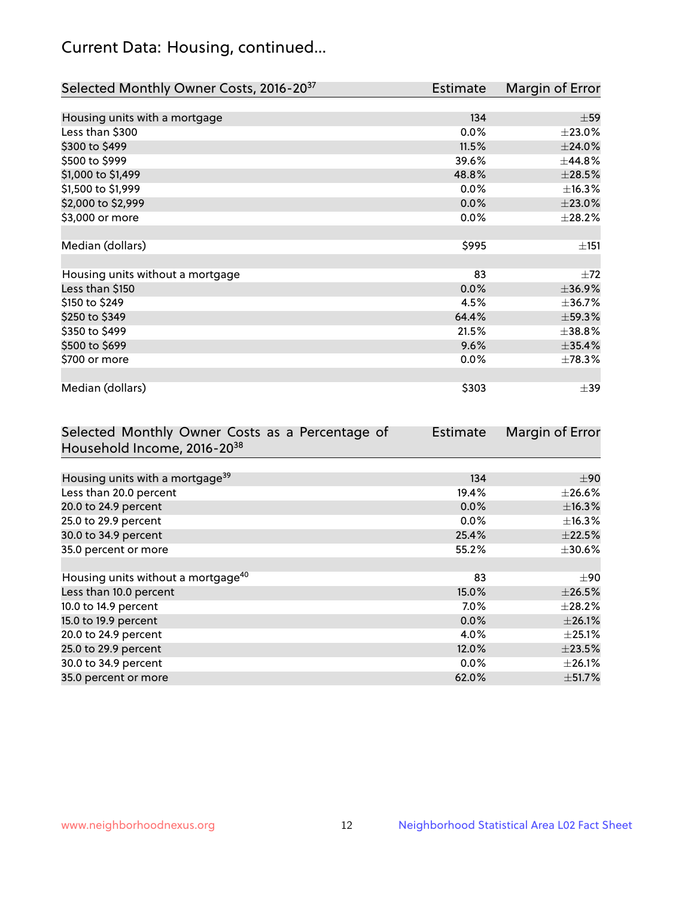## Current Data: Housing, continued...

| Selected Monthly Owner Costs, 2016-20 <sup>37</sup> | Estimate | Margin of Error |
|-----------------------------------------------------|----------|-----------------|
|                                                     |          |                 |
| Housing units with a mortgage                       | 134      | $\pm$ 59        |
| Less than \$300                                     | 0.0%     | $\pm 23.0\%$    |
| \$300 to \$499                                      | 11.5%    | ±24.0%          |
| \$500 to \$999                                      | 39.6%    | ±44.8%          |
| \$1,000 to \$1,499                                  | 48.8%    | $\pm 28.5\%$    |
| \$1,500 to \$1,999                                  | 0.0%     | ±16.3%          |
| \$2,000 to \$2,999                                  | 0.0%     | $\pm 23.0\%$    |
| \$3,000 or more                                     | 0.0%     | ±28.2%          |
|                                                     |          |                 |
| Median (dollars)                                    | \$995    | ±151            |
|                                                     |          |                 |
| Housing units without a mortgage                    | 83       | $\pm 72$        |
| Less than \$150                                     | 0.0%     | ±36.9%          |
| \$150 to \$249                                      | 4.5%     | ±36.7%          |
| \$250 to \$349                                      | 64.4%    | $\pm$ 59.3%     |
| \$350 to \$499                                      | 21.5%    | ±38.8%          |
| \$500 to \$699                                      | 9.6%     | $\pm$ 35.4%     |
| \$700 or more                                       | 0.0%     | ±78.3%          |
|                                                     |          |                 |
| Median (dollars)                                    | \$303    | $\pm$ 39        |

| Selected Monthly Owner Costs as a Percentage of | <b>Estimate</b> | Margin of Error |
|-------------------------------------------------|-----------------|-----------------|
| Household Income, 2016-20 <sup>38</sup>         |                 |                 |
|                                                 |                 |                 |
| Housing units with a mortgage <sup>39</sup>     | 134             | $\pm 90$        |
| Less than 20.0 percent                          | 19.4%           | $\pm 26.6\%$    |
| 20.0 to 24.9 percent                            | 0.0%            | ±16.3%          |
| 25.0 to 29.9 percent                            | $0.0\%$         | $\pm$ 16.3%     |
| 30.0 to 34.9 percent                            | 25.4%           | $\pm 22.5\%$    |
| 35.0 percent or more                            | 55.2%           | $\pm 30.6\%$    |
|                                                 |                 |                 |
| Housing units without a mortgage <sup>40</sup>  | 83              | $\pm 90$        |
| Less than 10.0 percent                          | 15.0%           | $\pm 26.5\%$    |
| 10.0 to 14.9 percent                            | $7.0\%$         | $\pm 28.2\%$    |
| 15.0 to 19.9 percent                            | $0.0\%$         | $\pm$ 26.1%     |
| 20.0 to 24.9 percent                            | 4.0%            | $\pm$ 25.1%     |
| 25.0 to 29.9 percent                            | 12.0%           | $\pm 23.5\%$    |
| 30.0 to 34.9 percent                            | $0.0\%$         | $\pm 26.1\%$    |
| 35.0 percent or more                            | 62.0%           | $\pm$ 51.7%     |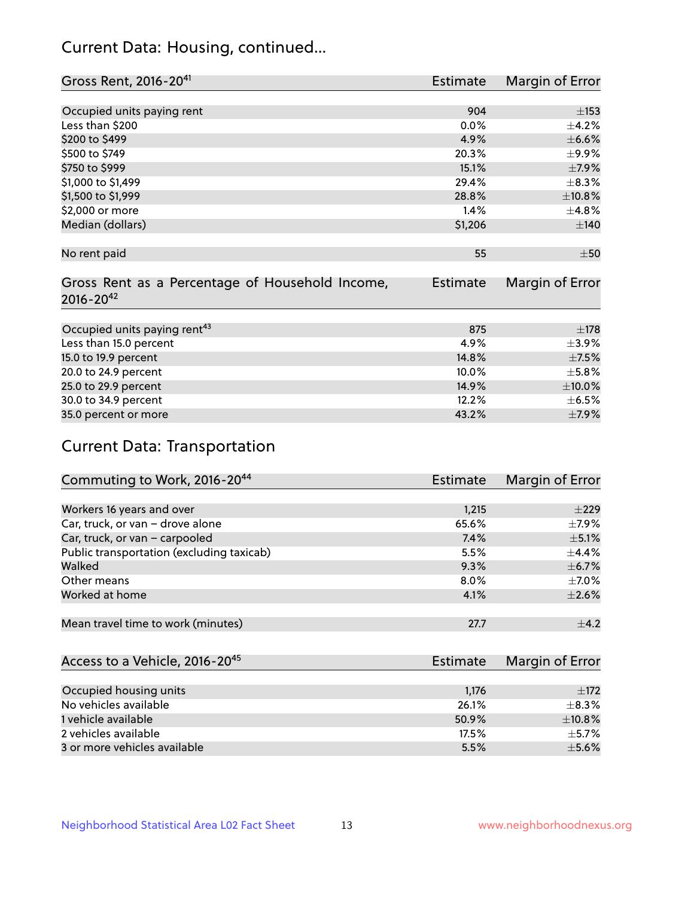## Current Data: Housing, continued...

| Gross Rent, 2016-20 <sup>41</sup>               | <b>Estimate</b> | Margin of Error |
|-------------------------------------------------|-----------------|-----------------|
|                                                 |                 |                 |
| Occupied units paying rent                      | 904             | ±153            |
| Less than \$200                                 | 0.0%            | $\pm$ 4.2%      |
| \$200 to \$499                                  | 4.9%            | $\pm$ 6.6%      |
| \$500 to \$749                                  | 20.3%           | $\pm$ 9.9%      |
| \$750 to \$999                                  | 15.1%           | $\pm$ 7.9%      |
| \$1,000 to \$1,499                              | 29.4%           | $\pm$ 8.3%      |
| \$1,500 to \$1,999                              | 28.8%           | ±10.8%          |
| \$2,000 or more                                 | 1.4%            | ±4.8%           |
| Median (dollars)                                | \$1,206         | ±140            |
|                                                 |                 |                 |
| No rent paid                                    | 55              | $\pm 50$        |
|                                                 |                 |                 |
| Gross Rent as a Percentage of Household Income, | <b>Estimate</b> | Margin of Error |
| $2016 - 20^{42}$                                |                 |                 |
|                                                 |                 |                 |
| Occupied units paying rent <sup>43</sup>        | 875             | $\pm 178$       |
| Less than 15.0 percent                          | 4.9%            | $\pm$ 3.9%      |
| 15.0 to 19.9 percent                            | 14.8%           | $\pm$ 7.5%      |
| 20.0 to 24.9 percent                            | 10.0%           | $\pm$ 5.8%      |
| 25.0 to 29.9 percent                            | 14.9%           | $\pm 10.0\%$    |
| 30.0 to 34.9 percent                            | 12.2%           | $\pm$ 6.5%      |
| 35.0 percent or more                            | 43.2%           | $\pm$ 7.9%      |

# Current Data: Transportation

| Commuting to Work, 2016-20 <sup>44</sup>  | <b>Estimate</b> | Margin of Error |
|-------------------------------------------|-----------------|-----------------|
|                                           |                 |                 |
| Workers 16 years and over                 | 1,215           | $\pm 229$       |
| Car, truck, or van - drove alone          | 65.6%           | $\pm$ 7.9%      |
| Car, truck, or van - carpooled            | 7.4%            | $\pm$ 5.1%      |
| Public transportation (excluding taxicab) | 5.5%            | $\pm$ 4.4%      |
| Walked                                    | 9.3%            | $\pm$ 6.7%      |
| Other means                               | $8.0\%$         | $\pm$ 7.0%      |
| Worked at home                            | 4.1%            | $\pm 2.6\%$     |
|                                           |                 |                 |
| Mean travel time to work (minutes)        | 27.7            | $+4.2$          |

| Access to a Vehicle, 2016-20 <sup>45</sup> | Estimate | Margin of Error |
|--------------------------------------------|----------|-----------------|
|                                            |          |                 |
| Occupied housing units                     | 1,176    | $\pm$ 172       |
| No vehicles available                      | 26.1%    | $+8.3%$         |
| 1 vehicle available                        | 50.9%    | ±10.8%          |
| 2 vehicles available                       | 17.5%    | $+5.7%$         |
| 3 or more vehicles available               | 5.5%     | $\pm$ 5.6%      |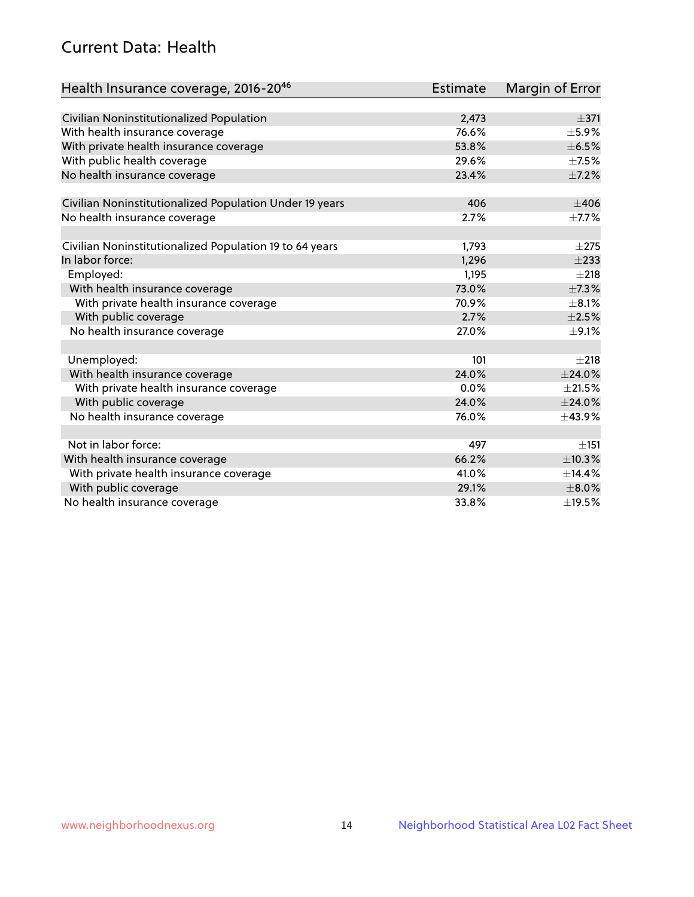## Current Data: Health

| Health Insurance coverage, 2016-2046                    | <b>Estimate</b> | Margin of Error |
|---------------------------------------------------------|-----------------|-----------------|
|                                                         |                 |                 |
| Civilian Noninstitutionalized Population                | 2,473           | $\pm$ 371       |
| With health insurance coverage                          | 76.6%           | $\pm$ 5.9%      |
| With private health insurance coverage                  | 53.8%           | $\pm$ 6.5%      |
| With public health coverage                             | 29.6%           | $\pm$ 7.5%      |
| No health insurance coverage                            | 23.4%           | $\pm$ 7.2%      |
| Civilian Noninstitutionalized Population Under 19 years | 406             | $\pm 406$       |
| No health insurance coverage                            | 2.7%            | $\pm$ 7.7%      |
|                                                         |                 |                 |
| Civilian Noninstitutionalized Population 19 to 64 years | 1,793           | $\pm 275$       |
| In labor force:                                         | 1,296           | $\pm 233$       |
| Employed:                                               | 1,195           | $\pm 218$       |
| With health insurance coverage                          | 73.0%           | $\pm$ 7.3%      |
| With private health insurance coverage                  | 70.9%           | $\pm$ 8.1%      |
| With public coverage                                    | 2.7%            | $\pm 2.5\%$     |
| No health insurance coverage                            | 27.0%           | $\pm$ 9.1%      |
|                                                         |                 |                 |
| Unemployed:                                             | 101             | $\pm 218$       |
| With health insurance coverage                          | 24.0%           | ±24.0%          |
| With private health insurance coverage                  | 0.0%            | $\pm 21.5\%$    |
| With public coverage                                    | 24.0%           | $±$ 24.0%       |
| No health insurance coverage                            | 76.0%           | ±43.9%          |
|                                                         |                 |                 |
| Not in labor force:                                     | 497             | ±151            |
| With health insurance coverage                          | 66.2%           | ±10.3%          |
| With private health insurance coverage                  | 41.0%           | ±14.4%          |
| With public coverage                                    | 29.1%           | $\pm 8.0\%$     |
| No health insurance coverage                            | 33.8%           | ±19.5%          |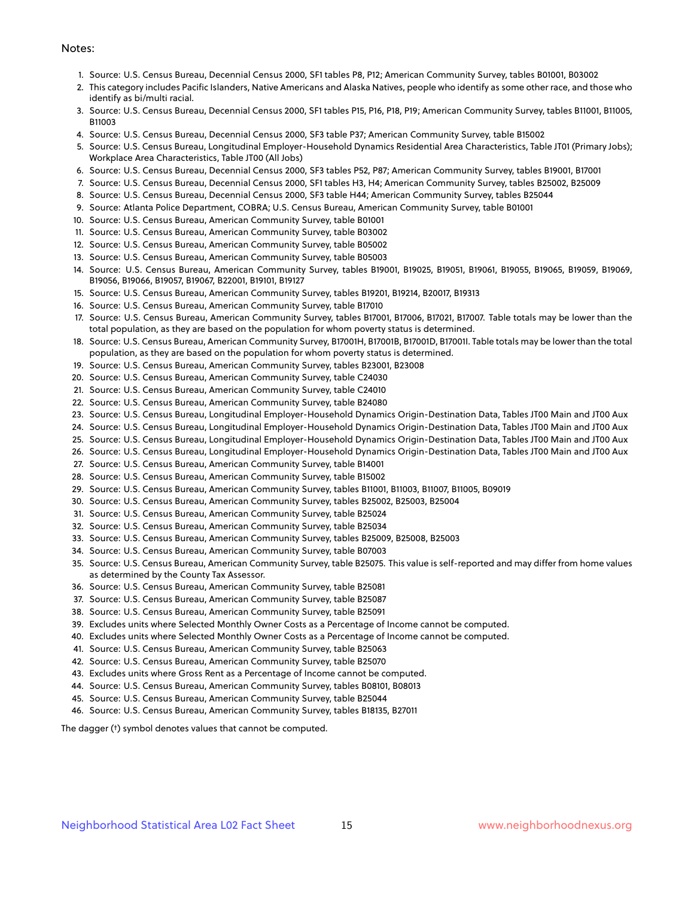#### Notes:

- 1. Source: U.S. Census Bureau, Decennial Census 2000, SF1 tables P8, P12; American Community Survey, tables B01001, B03002
- 2. This category includes Pacific Islanders, Native Americans and Alaska Natives, people who identify as some other race, and those who identify as bi/multi racial.
- 3. Source: U.S. Census Bureau, Decennial Census 2000, SF1 tables P15, P16, P18, P19; American Community Survey, tables B11001, B11005, B11003
- 4. Source: U.S. Census Bureau, Decennial Census 2000, SF3 table P37; American Community Survey, table B15002
- 5. Source: U.S. Census Bureau, Longitudinal Employer-Household Dynamics Residential Area Characteristics, Table JT01 (Primary Jobs); Workplace Area Characteristics, Table JT00 (All Jobs)
- 6. Source: U.S. Census Bureau, Decennial Census 2000, SF3 tables P52, P87; American Community Survey, tables B19001, B17001
- 7. Source: U.S. Census Bureau, Decennial Census 2000, SF1 tables H3, H4; American Community Survey, tables B25002, B25009
- 8. Source: U.S. Census Bureau, Decennial Census 2000, SF3 table H44; American Community Survey, tables B25044
- 9. Source: Atlanta Police Department, COBRA; U.S. Census Bureau, American Community Survey, table B01001
- 10. Source: U.S. Census Bureau, American Community Survey, table B01001
- 11. Source: U.S. Census Bureau, American Community Survey, table B03002
- 12. Source: U.S. Census Bureau, American Community Survey, table B05002
- 13. Source: U.S. Census Bureau, American Community Survey, table B05003
- 14. Source: U.S. Census Bureau, American Community Survey, tables B19001, B19025, B19051, B19061, B19055, B19065, B19059, B19069, B19056, B19066, B19057, B19067, B22001, B19101, B19127
- 15. Source: U.S. Census Bureau, American Community Survey, tables B19201, B19214, B20017, B19313
- 16. Source: U.S. Census Bureau, American Community Survey, table B17010
- 17. Source: U.S. Census Bureau, American Community Survey, tables B17001, B17006, B17021, B17007. Table totals may be lower than the total population, as they are based on the population for whom poverty status is determined.
- 18. Source: U.S. Census Bureau, American Community Survey, B17001H, B17001B, B17001D, B17001I. Table totals may be lower than the total population, as they are based on the population for whom poverty status is determined.
- 19. Source: U.S. Census Bureau, American Community Survey, tables B23001, B23008
- 20. Source: U.S. Census Bureau, American Community Survey, table C24030
- 21. Source: U.S. Census Bureau, American Community Survey, table C24010
- 22. Source: U.S. Census Bureau, American Community Survey, table B24080
- 23. Source: U.S. Census Bureau, Longitudinal Employer-Household Dynamics Origin-Destination Data, Tables JT00 Main and JT00 Aux
- 24. Source: U.S. Census Bureau, Longitudinal Employer-Household Dynamics Origin-Destination Data, Tables JT00 Main and JT00 Aux
- 25. Source: U.S. Census Bureau, Longitudinal Employer-Household Dynamics Origin-Destination Data, Tables JT00 Main and JT00 Aux
- 26. Source: U.S. Census Bureau, Longitudinal Employer-Household Dynamics Origin-Destination Data, Tables JT00 Main and JT00 Aux
- 27. Source: U.S. Census Bureau, American Community Survey, table B14001
- 28. Source: U.S. Census Bureau, American Community Survey, table B15002
- 29. Source: U.S. Census Bureau, American Community Survey, tables B11001, B11003, B11007, B11005, B09019
- 30. Source: U.S. Census Bureau, American Community Survey, tables B25002, B25003, B25004
- 31. Source: U.S. Census Bureau, American Community Survey, table B25024
- 32. Source: U.S. Census Bureau, American Community Survey, table B25034
- 33. Source: U.S. Census Bureau, American Community Survey, tables B25009, B25008, B25003
- 34. Source: U.S. Census Bureau, American Community Survey, table B07003
- 35. Source: U.S. Census Bureau, American Community Survey, table B25075. This value is self-reported and may differ from home values as determined by the County Tax Assessor.
- 36. Source: U.S. Census Bureau, American Community Survey, table B25081
- 37. Source: U.S. Census Bureau, American Community Survey, table B25087
- 38. Source: U.S. Census Bureau, American Community Survey, table B25091
- 39. Excludes units where Selected Monthly Owner Costs as a Percentage of Income cannot be computed.
- 40. Excludes units where Selected Monthly Owner Costs as a Percentage of Income cannot be computed.
- 41. Source: U.S. Census Bureau, American Community Survey, table B25063
- 42. Source: U.S. Census Bureau, American Community Survey, table B25070
- 43. Excludes units where Gross Rent as a Percentage of Income cannot be computed.
- 44. Source: U.S. Census Bureau, American Community Survey, tables B08101, B08013
- 45. Source: U.S. Census Bureau, American Community Survey, table B25044
- 46. Source: U.S. Census Bureau, American Community Survey, tables B18135, B27011

The dagger (†) symbol denotes values that cannot be computed.